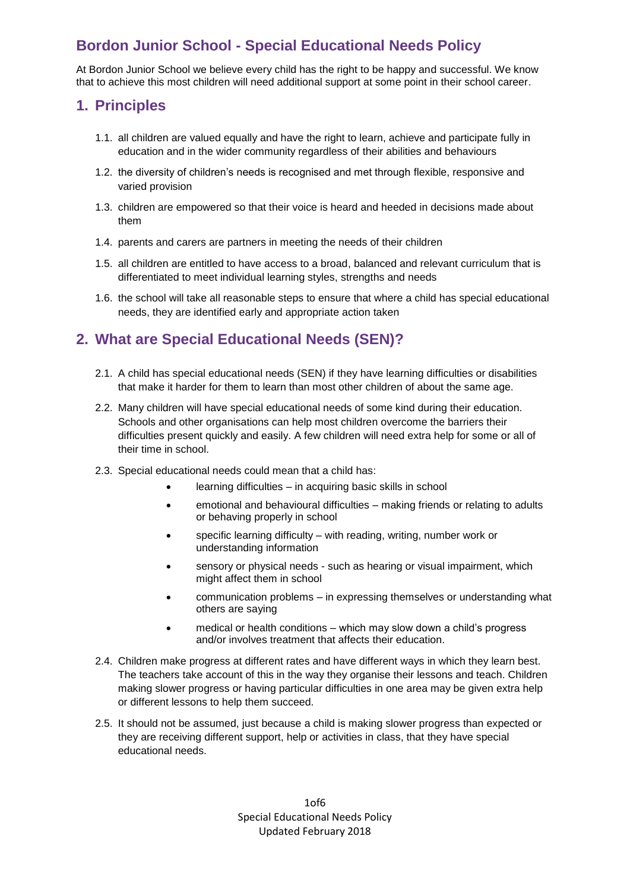# **Bordon Junior School - Special Educational Needs Policy**

At Bordon Junior School we believe every child has the right to be happy and successful. We know that to achieve this most children will need additional support at some point in their school career.

### **1. Principles**

- 1.1. all children are valued equally and have the right to learn, achieve and participate fully in education and in the wider community regardless of their abilities and behaviours
- 1.2. the diversity of children's needs is recognised and met through flexible, responsive and varied provision
- 1.3. children are empowered so that their voice is heard and heeded in decisions made about them
- 1.4. parents and carers are partners in meeting the needs of their children
- 1.5. all children are entitled to have access to a broad, balanced and relevant curriculum that is differentiated to meet individual learning styles, strengths and needs
- 1.6. the school will take all reasonable steps to ensure that where a child has special educational needs, they are identified early and appropriate action taken

## **2. What are Special Educational Needs (SEN)?**

- 2.1. A child has special educational needs (SEN) if they have learning difficulties or disabilities that make it harder for them to learn than most other children of about the same age.
- 2.2. Many children will have special educational needs of some kind during their education. Schools and other organisations can help most children overcome the barriers their difficulties present quickly and easily. A few children will need extra help for some or all of their time in school.
- 2.3. Special educational needs could mean that a child has:
	- learning difficulties in acquiring basic skills in school
	- emotional and behavioural difficulties making friends or relating to adults or behaving properly in school
	- specific learning difficulty with reading, writing, number work or understanding information
	- sensory or physical needs such as hearing or visual impairment, which might affect them in school
	- communication problems in expressing themselves or understanding what others are saying
	- medical or health conditions which may slow down a child's progress and/or involves treatment that affects their education.
- 2.4. Children make progress at different rates and have different ways in which they learn best. The teachers take account of this in the way they organise their lessons and teach. Children making slower progress or having particular difficulties in one area may be given extra help or different lessons to help them succeed.
- 2.5. It should not be assumed, just because a child is making slower progress than expected or they are receiving different support, help or activities in class, that they have special educational needs.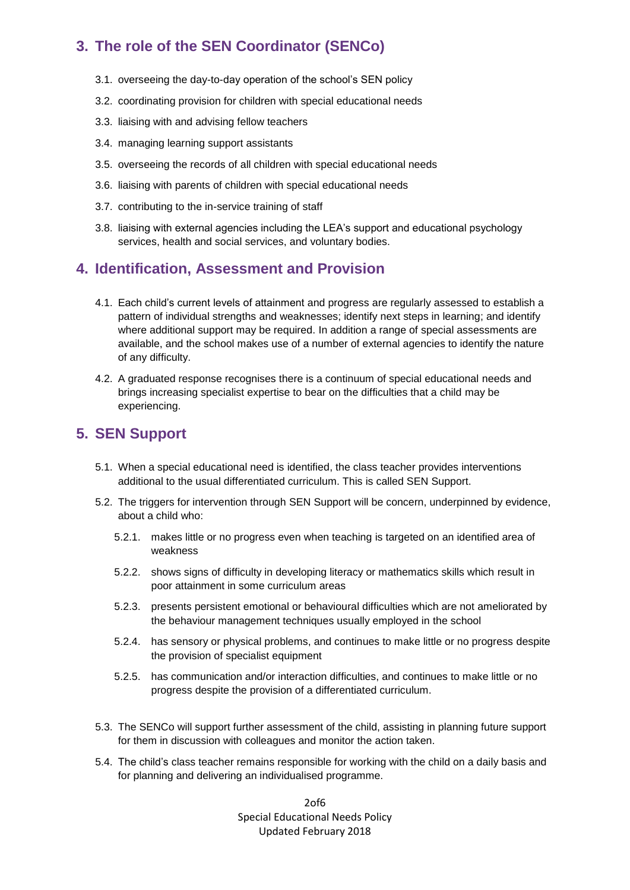# **3. The role of the SEN Coordinator (SENCo)**

- 3.1. overseeing the day-to-day operation of the school's SEN policy
- 3.2. coordinating provision for children with special educational needs
- 3.3. liaising with and advising fellow teachers
- 3.4. managing learning support assistants
- 3.5. overseeing the records of all children with special educational needs
- 3.6. liaising with parents of children with special educational needs
- 3.7. contributing to the in-service training of staff
- 3.8. liaising with external agencies including the LEA's support and educational psychology services, health and social services, and voluntary bodies.

## **4. Identification, Assessment and Provision**

- 4.1. Each child's current levels of attainment and progress are regularly assessed to establish a pattern of individual strengths and weaknesses; identify next steps in learning; and identify where additional support may be required. In addition a range of special assessments are available, and the school makes use of a number of external agencies to identify the nature of any difficulty.
- 4.2. A graduated response recognises there is a continuum of special educational needs and brings increasing specialist expertise to bear on the difficulties that a child may be experiencing.

### **5. SEN Support**

- 5.1. When a special educational need is identified, the class teacher provides interventions additional to the usual differentiated curriculum. This is called SEN Support.
- 5.2. The triggers for intervention through SEN Support will be concern, underpinned by evidence, about a child who:
	- 5.2.1. makes little or no progress even when teaching is targeted on an identified area of weakness
	- 5.2.2. shows signs of difficulty in developing literacy or mathematics skills which result in poor attainment in some curriculum areas
	- 5.2.3. presents persistent emotional or behavioural difficulties which are not ameliorated by the behaviour management techniques usually employed in the school
	- 5.2.4. has sensory or physical problems, and continues to make little or no progress despite the provision of specialist equipment
	- 5.2.5. has communication and/or interaction difficulties, and continues to make little or no progress despite the provision of a differentiated curriculum.
- 5.3. The SENCo will support further assessment of the child, assisting in planning future support for them in discussion with colleagues and monitor the action taken.
- 5.4. The child's class teacher remains responsible for working with the child on a daily basis and for planning and delivering an individualised programme.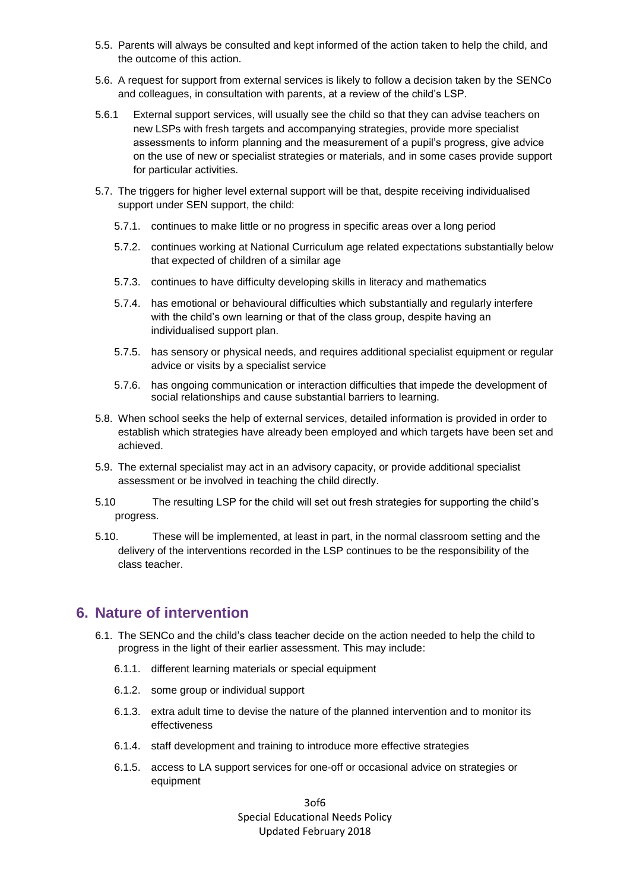- 5.5. Parents will always be consulted and kept informed of the action taken to help the child, and the outcome of this action.
- 5.6. A request for support from external services is likely to follow a decision taken by the SENCo and colleagues, in consultation with parents, at a review of the child's LSP.
- 5.6.1 External support services, will usually see the child so that they can advise teachers on new LSPs with fresh targets and accompanying strategies, provide more specialist assessments to inform planning and the measurement of a pupil's progress, give advice on the use of new or specialist strategies or materials, and in some cases provide support for particular activities.
- 5.7. The triggers for higher level external support will be that, despite receiving individualised support under SEN support, the child:
	- 5.7.1. continues to make little or no progress in specific areas over a long period
	- 5.7.2. continues working at National Curriculum age related expectations substantially below that expected of children of a similar age
	- 5.7.3. continues to have difficulty developing skills in literacy and mathematics
	- 5.7.4. has emotional or behavioural difficulties which substantially and regularly interfere with the child's own learning or that of the class group, despite having an individualised support plan.
	- 5.7.5. has sensory or physical needs, and requires additional specialist equipment or regular advice or visits by a specialist service
	- 5.7.6. has ongoing communication or interaction difficulties that impede the development of social relationships and cause substantial barriers to learning.
- 5.8. When school seeks the help of external services, detailed information is provided in order to establish which strategies have already been employed and which targets have been set and achieved.
- 5.9. The external specialist may act in an advisory capacity, or provide additional specialist assessment or be involved in teaching the child directly.
- 5.10 The resulting LSP for the child will set out fresh strategies for supporting the child's progress.
- 5.10. These will be implemented, at least in part, in the normal classroom setting and the delivery of the interventions recorded in the LSP continues to be the responsibility of the class teacher.

#### **6. Nature of intervention**

- 6.1. The SENCo and the child's class teacher decide on the action needed to help the child to progress in the light of their earlier assessment. This may include:
	- 6.1.1. different learning materials or special equipment
	- 6.1.2. some group or individual support
	- 6.1.3. extra adult time to devise the nature of the planned intervention and to monitor its effectiveness
	- 6.1.4. staff development and training to introduce more effective strategies
	- 6.1.5. access to LA support services for one-off or occasional advice on strategies or equipment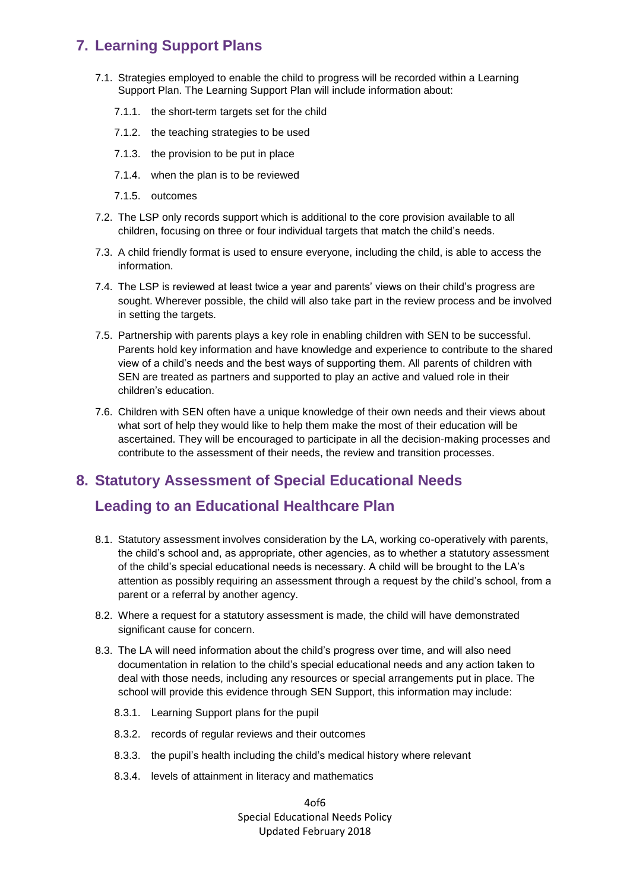## **7. Learning Support Plans**

- 7.1. Strategies employed to enable the child to progress will be recorded within a Learning Support Plan. The Learning Support Plan will include information about:
	- 7.1.1. the short-term targets set for the child
	- 7.1.2. the teaching strategies to be used
	- 7.1.3. the provision to be put in place
	- 7.1.4. when the plan is to be reviewed
	- 7.1.5. outcomes
- 7.2. The LSP only records support which is additional to the core provision available to all children, focusing on three or four individual targets that match the child's needs.
- 7.3. A child friendly format is used to ensure everyone, including the child, is able to access the information.
- 7.4. The LSP is reviewed at least twice a year and parents' views on their child's progress are sought. Wherever possible, the child will also take part in the review process and be involved in setting the targets.
- 7.5. Partnership with parents plays a key role in enabling children with SEN to be successful. Parents hold key information and have knowledge and experience to contribute to the shared view of a child's needs and the best ways of supporting them. All parents of children with SEN are treated as partners and supported to play an active and valued role in their children's education.
- 7.6. Children with SEN often have a unique knowledge of their own needs and their views about what sort of help they would like to help them make the most of their education will be ascertained. They will be encouraged to participate in all the decision-making processes and contribute to the assessment of their needs, the review and transition processes.

## **8. Statutory Assessment of Special Educational Needs**

## **Leading to an Educational Healthcare Plan**

- 8.1. Statutory assessment involves consideration by the LA, working co-operatively with parents, the child's school and, as appropriate, other agencies, as to whether a statutory assessment of the child's special educational needs is necessary. A child will be brought to the LA's attention as possibly requiring an assessment through a request by the child's school, from a parent or a referral by another agency.
- 8.2. Where a request for a statutory assessment is made, the child will have demonstrated significant cause for concern.
- 8.3. The LA will need information about the child's progress over time, and will also need documentation in relation to the child's special educational needs and any action taken to deal with those needs, including any resources or special arrangements put in place. The school will provide this evidence through SEN Support, this information may include:
	- 8.3.1. Learning Support plans for the pupil
	- 8.3.2. records of regular reviews and their outcomes
	- 8.3.3. the pupil's health including the child's medical history where relevant
	- 8.3.4. levels of attainment in literacy and mathematics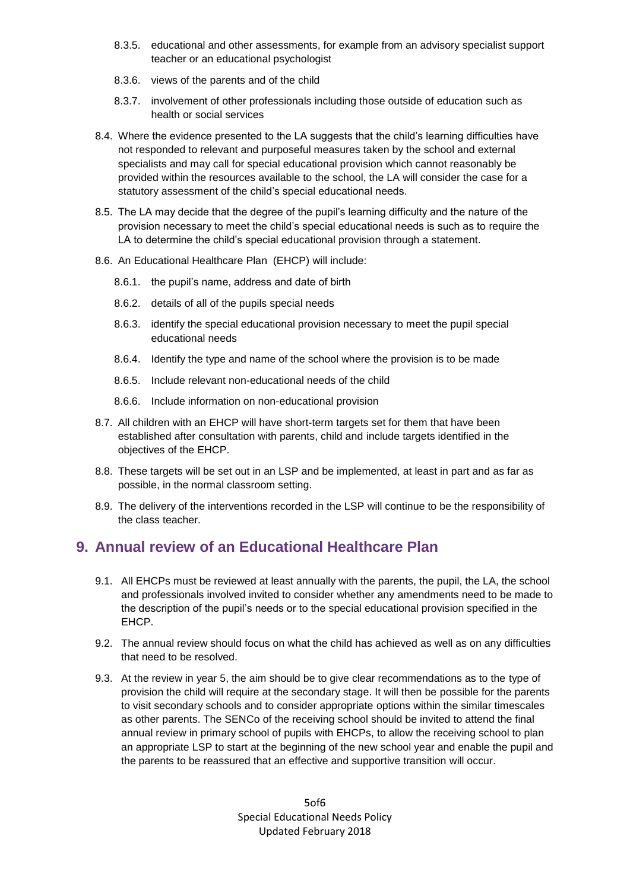- 8.3.5. educational and other assessments, for example from an advisory specialist support teacher or an educational psychologist
- 8.3.6. views of the parents and of the child
- 8.3.7. involvement of other professionals including those outside of education such as health or social services
- 8.4. Where the evidence presented to the LA suggests that the child's learning difficulties have not responded to relevant and purposeful measures taken by the school and external specialists and may call for special educational provision which cannot reasonably be provided within the resources available to the school, the LA will consider the case for a statutory assessment of the child's special educational needs.
- 8.5. The LA may decide that the degree of the pupil's learning difficulty and the nature of the provision necessary to meet the child's special educational needs is such as to require the LA to determine the child's special educational provision through a statement.
- 8.6. An Educational Healthcare Plan (EHCP) will include:
	- 8.6.1. the pupil's name, address and date of birth
	- 8.6.2. details of all of the pupils special needs
	- 8.6.3. identify the special educational provision necessary to meet the pupil special educational needs
	- 8.6.4. Identify the type and name of the school where the provision is to be made
	- 8.6.5. Include relevant non-educational needs of the child
	- 8.6.6. Include information on non-educational provision
- 8.7. All children with an EHCP will have short-term targets set for them that have been established after consultation with parents, child and include targets identified in the objectives of the EHCP.
- 8.8. These targets will be set out in an LSP and be implemented, at least in part and as far as possible, in the normal classroom setting.
- 8.9. The delivery of the interventions recorded in the LSP will continue to be the responsibility of the class teacher.

## **9. Annual review of an Educational Healthcare Plan**

- 9.1. All EHCPs must be reviewed at least annually with the parents, the pupil, the LA, the school and professionals involved invited to consider whether any amendments need to be made to the description of the pupil's needs or to the special educational provision specified in the EHCP.
- 9.2. The annual review should focus on what the child has achieved as well as on any difficulties that need to be resolved.
- 9.3. At the review in year 5, the aim should be to give clear recommendations as to the type of provision the child will require at the secondary stage. It will then be possible for the parents to visit secondary schools and to consider appropriate options within the similar timescales as other parents. The SENCo of the receiving school should be invited to attend the final annual review in primary school of pupils with EHCPs, to allow the receiving school to plan an appropriate LSP to start at the beginning of the new school year and enable the pupil and the parents to be reassured that an effective and supportive transition will occur.